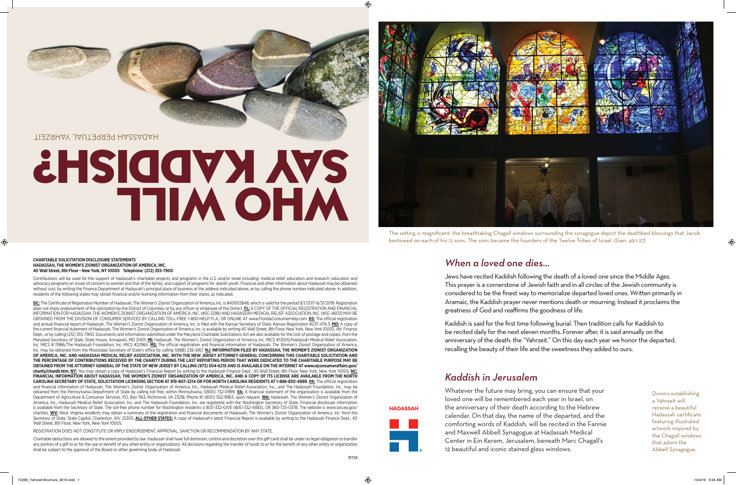## HADASSAH PERPETUAL YAHRZEIT

# **THIM OHM SHSIQQVY YAS**



#### **CHARITABLE SOLICITATION DISCLOSURE STATEMENTS HADASSAH, THE WOMEN'S ZIONIST ORGANIZATION OF AMERICA, INC. 40 Wall Street, 8th Floor - New York, NY 10005 Telephone: (212) 355-7900**

Contributions will be used for the support of Hadassah's charitable projects and programs in the U.S. and/or Israel including: medical relief, education and research; education and advocacy programs on issues of concern to women and that of the family; and support of programs for Jewish youth. Financial and other information about Hadassah may be obtained, without cost, by writing the Finance Department at Hadassah's principal place of business at the address indicated above, or by calling the phone number indicated above. In addition, residents of the following states may obtain financial and/or licensing information from their states, as indicated.

DC: The Certificate of Registration Number of Hadassah, The Women's Zionist Organization of America, Inc. is #40003848, which is valid for the period 9/1/2017-8/31/2019. Registration does not imply endorsement of the solicitation by the District of Columbia, or by any officer or employee of the District. **FL:** A COPY OF THE OFFICIAL REGISTRATION AND FINANCIAL INFORMATION FOR HADASSAH, THE WOMEN'S ZIONIST ORGANIZATION OF AMERICA, INC. (#SC-1298) AND HADASSAH MEDICAL RELIEF ASSOCIATION, INC. (#SC-4603) MAY BE OBTAINED FROM THE DIVISION OF CONSUMER SERVICES BY CALLING TOLL-FREE 1-800-HELP-FLA, OR ONLINE AT www.FloridaConsumerHelp.com. **KS:** The official registration and annual financial report of Hadassah, The Women's Zionist Organization of America, Inc. is filed with the Kansas Secretary of State. Kansas Registration #237-478-3. **MD:** A copy of the current financial statement of Hadassah, The Women's Zionist Organization of America, Inc. is available by writing 40 Wall Street, 8th Floor, New York, New York 10005, Att: Finance Dept., or by calling (212) 355-7900. Documents and information submitted under the Maryland Charitable Solicitations Act are also available for the cost of postage and copies, from the Maryland Secretary of State, State House, Annapolis, MD 21401. **MI:** Hadassah, The Women's Zionist Organization of America, Inc. MICS #13005/Hadassah Medical Relief Association, Inc. MICS # 11986/The Hadassah Foundation, Inc. MICS #22965. **MS:** The official registration and financial information of Hadassah, The Women's Zionist Organization of America, Inc. may be obtained from the Mississippi Secretary of State's office by calling 1(888) 236-6167. **NJ: INFORMATION FILED BY HADASSAH, THE WOMEN'S ZIONIST ORGANIZATION OF AMERICA, INC. AND HADASSAH MEDICAL RELIEF ASSOCIATION, INC. WITH THE NEW JERSEY ATTORNEY GENERAL CONCERNING THIS CHARITABLE SOLICITATION AND THE PERCENTAGE OF CONTRIBUTIONS RECEIVED BY THE CHARITY DURING THE LAST REPORTING PERIOD THAT WERE DEDICATED TO THE CHARITABLE PURPOSE MAY BE OBTAINED FROM THE ATTORNEY GENERAL OF THE STATE OF NEW JERSEY BY CALLING (973) 504-6215 AND IS AVAILABLE ON THE INTERNET AT www.njconsumeraffairs.gov/ charity/chardir.htm. NY:** You may obtain a copy of Hadassah's Financial Report by writing to the Hadassah Finance Dept., 40 Wall Street, 8th Floor, New York, New York 10005. **NC: FINANCIAL INFORMATION ABOUT HADASSAH, THE WOMEN'S ZIONIST ORGANIZATION OF AMERICA, INC. AND A COPY OF ITS LICENSE ARE AVAILABLE FROM THE NORTH CAROLINA SECRETARY OF STATE, SOLICITATION LICENSING SECTION AT 919-807-2214 OR FOR NORTH CAROLINA RESIDENTS AT 1-888-830-4989. PA:** The official registration and financial information of Hadassah, The Women's Zionist Organization of America, Inc., Hadassah Medical Relief Association, Inc., and The Hadassah Foundation, Inc. may be obtained from the Pennsylvania Department of State by calling toll free, within Pennsylvania, 1(800) 732-0999. **VA:** A financial statement of the organization is available from the Department of Agriculture & Consumer Services, P.O. Box 1163, Richmond, VA 23218, Phone #1 (800) 552-9963, upon request. **WA:** Hadassah, The Women's Zionist Organization of America, Inc., Hadassah Medical Relief Association, Inc. and The Hadassah Foundation, Inc. are registered with the Washington Secretary of State. Financial disclosure information is available from the Secretary of State. The toll-free phone number for Washington residents is 800-332-GIVE (800-332-4483), OR 360-725-0378. The website is www.sos.wa.gov/ charities. **WV:** West Virginia residents may obtain a summary of the registration and financial documents of Hadassah, The Women's Zionist Organization of America, Inc. from the Secretary of State, State Capitol, Charleston, WV 25305. ALL OTHER STATES: A copy of Hadassah's latest Financial Report is available by writing to the Hadassah Finance Dept., 40 Wall Street, 8th Floor, New York, New York 10005.

REGISTRATION DOES NOT CONSTITUTE OR IMPLY ENDORSEMENT, APPROVAL, SANCTION OR RECOMMENDATION BY ANY STATE.

Charitable deductions are allowed to the extent provided by law. Hadassah shall have full dominion, control and discretion over this gift (and shall be under no legal obligation to transfer any portion of a gift to or for the use or benefit of any other entity or organization). All decisions regarding the transfer of funds to or for the benefit of any other entity or organization shall be subject to the approval of the Board or other governing body of Hadassah.

*When a loved one dies…*

Jews have recited Kaddish following the death of a loved one since the Middle Ages. This prayer is a cornerstone of Jewish faith and in all circles of the Jewish community is considered to be the finest way to memorialize departed loved ones. Written primarily in Aramaic, the Kaddish prayer never mentions death or mourning. Instead it proclaims the greatness of God and reaffirms the goodness of life.

Kaddish is said for the first time following burial. Then tradition calls for Kaddish to be recited daily for the next eleven months. Forever after, it is said annually on the anniversary of the death: the "Yahrzeit." On this day each year we honor the departed, recalling the beauty of their life and the sweetness they added to ours.

# *Kaddish in Jerusalem*

Whatever the future may bring, you can ensure that your loved one will be remembered each year in Israel, on the anniversary of their death according to the Hebrew calendar. On that day, the name of the departed, and the comforting words of Kaddish, will be recited in the Fannie and Maxwell Abbell Synagogue at Hadassah Medical Center in Ein Kerem, Jerusalem, beneath Marc Chagall's 12 beautiful and iconic stained glass windows.

R720<br>R720

The setting is magnificent: the breathtaking Chagall windows surrounding the synagogue depict the deathbed blessings that Jacob

bestowed on each of his 12 sons. The sons became the founders of the Twelve Tribes of Israel. (Gen. 49:1-27)

Donors establishing a Yahrzeit will receive a beautiful Hadassah certificate featuring illustrated artwork inspired by the Chagall windows that adorn the Abbell Synagogue.

**HADASSAH**